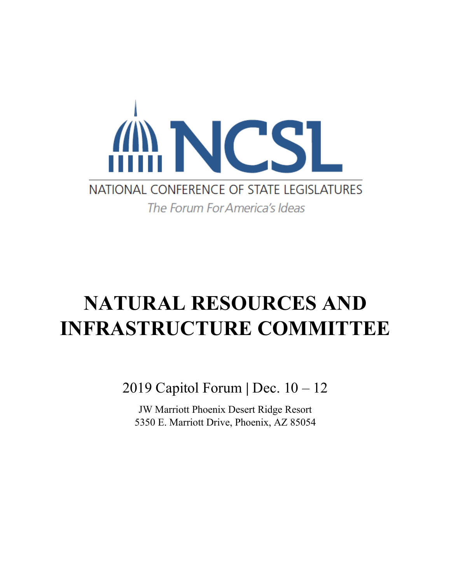

# **NATURAL RESOURCES AND INFRASTRUCTURE COMMITTEE**

2019 Capitol Forum **|** Dec. 10 – 12

JW Marriott Phoenix Desert Ridge Resort 5350 E. Marriott Drive, Phoenix, AZ 85054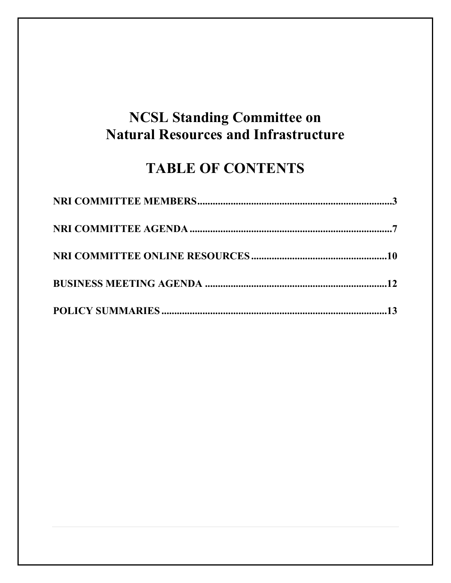## **NCSL Standing Committee on Natural Resources and Infrastructure**

## **TABLE OF CONTENTS**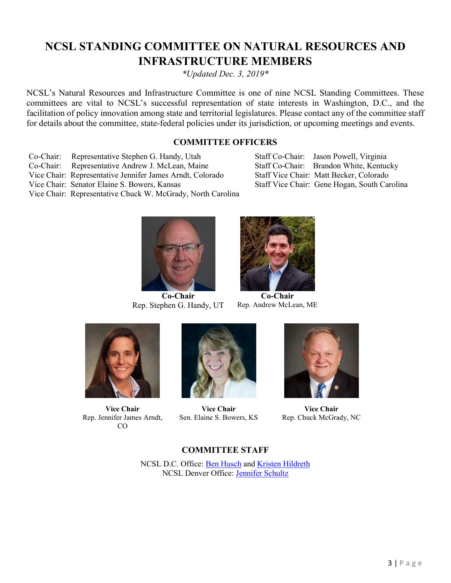## <span id="page-2-0"></span>**NCSL STANDING COMMITTEE ON NATURAL RESOURCES AND INFRASTRUCTURE MEMBERS**

*\*Updated Dec. 3, 2019\**

NCSL's Natural Resources and Infrastructure Committee is one of nine NCSL Standing Committees. These committees are vital to NCSL's successful representation of state interests in Washington, D.C., and the facilitation of policy innovation among state and territorial legislatures. Please contact any of the committee staff for details about the committee, state-federal policies under its jurisdiction, or upcoming meetings and events.

## **COMMITTEE OFFICERS**

- Co-Chair: Representative Stephen G. Handy, Utah Staff Co-Chair: Jason Powell, Virginia
- Co-Chair: Representative Andrew J. McLean, Maine Staff Co-Chair: Brandon White, Kentucky
- Vice Chair: Representative Jennifer James Arndt, Colorado Staff Vice Chair: Matt Becker, Colorado
- 
- 



Vice Chair: Senator Elaine S. Bowers, Kansas Staff Vice Chair: Gene Hogan, South Carolina



**Co-Chair** Rep. Stephen G. Handy, UT



**Co-Chair** Rep. Andrew McLean, ME



**Vice Chair** Rep. Jennifer James Arndt, CO



**Vice Chair** Sen. Elaine S. Bowers, KS



**Vice Chair** Rep. Chuck McGrady, NC

### **COMMITTEE STAFF**

NCSL D.C. Office: [Ben Husch](mailto:ben.husch@ncsl.org) and [Kristen Hildreth](mailto:kristen.hildreth@ncsl.org) NCSL Denver Office: [Jennifer Schultz](mailto:jennifer.schultz@ncsl.org)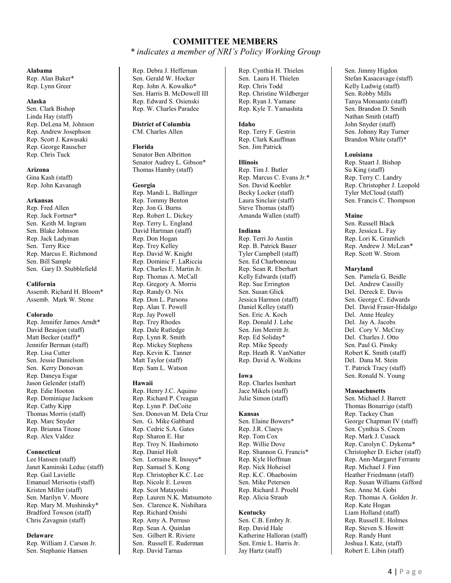### **COMMITTEE MEMBERS** *\* indicates a member of NRI's Policy Working Group*

#### **Alabama**

Rep. Alan Baker\* Rep. Lynn Greer

#### **Alaska**

Sen. Clark Bishop Linda Hay (staff) Rep. DeLena M. Johnson Rep. Andrew Josephson Rep. Scott J. Kawasaki Rep. George Rauscher Rep. Chris Tuck

#### **Arizona**

Gina Kash (staff) Rep. John Kavanagh

#### **Arkansas**

Rep. Fred Allen Rep. Jack Fortner\* Sen. Keith M. Ingram Sen. Blake Johnson Rep. Jack Ladyman Sen. Terry Rice Rep. Marcus E. Richmond Sen. Bill Sample Sen. Gary D. Stubblefield

#### **California**

Assemb. Richard H. Bloom\* Assemb. Mark W. Stone

#### **Colorado**

Rep. Jennifer James Arndt\* David Beaujon (staff) Matt Becker (staff)\* Jennifer Berman (staff) Rep. Lisa Cutter Sen. Jessie Danielson Sen. Kerry Donovan Rep. Daneya Esgar Jason Gelender (staff) Rep. Edie Hooton Rep. Dominique Jackson Rep. Cathy Kipp Thomas Morris (staff) Rep. Marc Snyder Rep. Brianna Titone Rep. Alex Valdez

#### **Connecticut**

Lee Hansen (staff) Janet Kaminski Leduc (staff) Rep. Gail Lavielle Emanuel Merisotis (staff) Kristen Miller (staff) Sen. Marilyn V. Moore Rep. Mary M. Mushinsky\* Bradford Towson (staff) Chris Zavagnin (staff)

#### **Delaware**

Rep. William J. Carson Jr. Sen. Stephanie Hansen

Rep. Debra J. Heffernan Sen. Gerald W. Hocker Rep. John A. Kowalko\* Sen. Harris B. McDowell III Rep. Edward S. Osienski Rep. W. Charles Paradee

#### **District of Columbia** CM. Charles Allen

#### **Florida**

Senator Ben Albritton Senator Audrey L. Gibson\* Thomas Hamby (staff)

#### **Georgia**

Rep. Mandi L. Ballinger Rep. Tommy Benton Rep. Jon G. Burns Rep. Robert L. Dickey Rep. Terry L. England David Hartman (staff) Rep. Don Hogan Rep. Trey Kelley Rep. David W. Knight Rep. Dominic F. LaRiccia Rep. Charles E. Martin Jr. Rep. Thomas A. McCall Rep. Gregory A. Morris Rep. Randy O. Nix Rep. Don L. Parsons Rep. Alan T. Powell Rep. Jay Powell Rep. Trey Rhodes Rep. Dale Rutledge Rep. Lynn R. Smith Rep. Mickey Stephens Rep. Kevin K. Tanner Matt Taylor (staff) Rep. Sam L. Watson

#### **Hawaii**

Rep. Henry J.C. Aquino Rep. Richard P. Creagan Rep. Lynn P. DeCoite Sen. Donovan M. Dela Cruz Sen. G. Mike Gabbard Rep. Cedric S.A. Gates Rep. Sharon E. Har Rep. Troy N. Hashimoto Rep. Daniel Holt Sen. Lorraine R. Inouye\* Rep. Samuel S. Kong Rep. Christopher K.C. Lee Rep. Nicole E. Lowen Rep. Scot Matayoshi Rep. Lauren N.K. Matsumoto Sen. Clarence K. Nishihara Rep. Richard Onishi Rep. Amy A. Perruso Rep. Sean A. Quinlan Sen. Gilbert R. Riviere Sen. Russell E. Ruderman Rep. David Tarnas

Rep. Cynthia H. Thielen Sen. Laura H. Thielen Rep. Chris Todd Rep. Christine Wildberger Rep. Ryan I. Yamane Rep. Kyle T. Yamashita

#### **Idaho**

Rep. Terry F. Gestrin Rep. Clark Kauffman Sen. Jim Patrick

#### **Illinois**

Rep. Tim J. Butler Rep. Marcus C. Evans Jr.\* Sen. David Koehler Becky Locker (staff) Laura Sinclair (staff) Steve Thomas (staff) Amanda Wallen (staff)

#### **Indiana**

Rep. Terri Jo Austin Rep. B. Patrick Bauer Tyler Campbell (staff) Sen. Ed Charbonneau Rep. Sean R. Eberhart Kelly Edwards (staff) Rep. Sue Errington Sen. Susan Glick Jessica Harmon (staff) Daniel Kelley (staff) Sen. Eric A. Koch Rep. Donald J. Lehe Sen. Jim Merritt Jr. Rep. Ed Soliday\* Rep. Mike Speedy Rep. Heath R. VanNatter Rep. David A. Wolkins

#### **Iowa**

Rep. Charles Isenhart Jace Mikels (staff) Julie Simon (staff)

#### **Kansas**

Sen. Elaine Bowers\* Rep. J.R. Claeys Rep. Tom Cox Rep. Willie Dove Rep. Shannon G. Francis\* Rep. Kyle Hoffman Rep. Nick Hoheisel Rep. K.C. Ohaebosim Sen. Mike Petersen Rep. Richard J. Proehl Rep. Alicia Straub

#### **Kentucky**

Sen. C.B. Embry Jr. Rep. David Hale Katherine Halloran (staff) Sen. Ernie L. Harris Jr. Jay Hartz (staff)

Sen. Jimmy Higdon Stefan Kasacavage (staff) Kelly Ludwig (staff) Sen. Robby Mills Tanya Monsanto (staff) Sen. Brandon D. Smith Nathan Smith (staff) John Snyder (staff) Sen. Johnny Ray Turner Brandon White (staff)\*

#### **Louisiana**

Rep. Stuart J. Bishop Su King (staff) Rep. Terry C. Landry Rep. Christopher J. Leopold Tyler McCloud (staff) Sen. Francis C. Thompson

#### **Maine**

Sen. Russell Black Rep. Jessica L. Fay Rep. Lori K. Gramlich Rep. Andrew J. McLean\* Rep. Scott W. Strom

#### **Maryland**

Sen. Pamela G. Beidle Del. Andrew Cassilly Del. Dereck E. Davis Sen. George C. Edwards Del. David Fraser-Hidalgo Del. Anne Healey Del. Jay A. Jacobs Del. Cory V. McCray Del. Charles J. Otto Sen. Paul G. Pinsky Robert K. Smith (staff) Del. Dana M. Stein T. Patrick Tracy (staff) Sen. Ronald N. Young

#### **Massachusetts**

Sen. Michael J. Barrett Thomas Bonarrigo (staff) Rep. Tackey Chan George Chapman IV (staff) Sen. Cynthia S. Creem Rep. Mark J. Cusack Rep. Carolyn C. Dykema\* Christopher D. Eicher (staff) Rep. Ann-Margaret Ferrante Rep. Michael J. Finn Heather Friedmann (staff) Rep. Susan Williams Gifford Sen. Anne M. Gobi Rep. Thomas A. Golden Jr. Rep. Kate Hogan Liam Holland (staff) Rep. Russell E. Holmes Rep. Steven S. Howitt Rep. Randy Hunt Joshua I. Katz, (staff) Robert E. Libin (staff)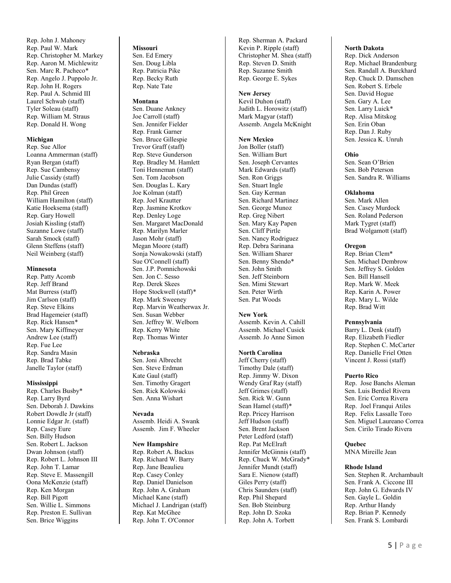Rep. John J. Mahoney Rep. Paul W. Mark Rep. Christopher M. Markey Rep. Aaron M. Michlewitz Sen. Marc R. Pacheco\* Rep. Angelo J. Puppolo Jr. Rep. John H. Rogers Rep. Paul A. Schmid III Laurel Schwab (staff) Tyler Soleau (staff) Rep. William M. Straus Rep. Donald H. Wong

#### **Michigan**

Rep. Sue Allor Loanna Ammerman (staff) Ryan Bergan (staff) Rep. Sue Cambensy Julie Cassidy (staff) Dan Dundas (staff) Rep. Phil Green William Hamilton (staff) Katie Hoeksema (staff) Rep. Gary Howell Josiah Kissling (staff) Suzanne Lowe (staff) Sarah Smock (staff) Glenn Steffens (staff) Neil Weinberg (staff)

#### **Minnesota**

Rep. Patty Acomb Rep. Jeff Brand Mat Burress (staff) Jim Carlson (staff) Rep. Steve Elkins Brad Hagemeier (staff) Rep. Rick Hansen \* Sen. Mary Kiffmeyer Andrew Lee (staff) Rep. Fue Lee Rep. Sandra Masin Rep. Brad Tabke Janelle Taylor (staff)

#### **Mississippi**

Rep. Charles Busby \* Rep. Larry Byrd Sen. Deborah J. Dawkins Robert Dowdle Jr (staff) Lonnie Edgar Jr. (staff) Rep. Casey Eure Sen. Billy Hudson Sen. Robert L. Jackson Dwan Johnson (staff) Rep. Robert L. Johnson III Rep. John T. Lamar Rep. Steve E. Massengill Oona McKenzie (staff) Rep. Ken Morgan Rep. Bill Pigott Sen. Willie L. Simmons Rep. Preston E. Sullivan Sen. Brice Wiggins

### **Missouri**

Sen. Ed Emery Sen. Doug Libla Rep. Patricia Pike Rep. Becky Ruth Rep. Nate Tate

#### **Montana**

Sen. Duane Ankney Joe Carroll (staff) Sen. Jennifer Fielder Rep. Frank Garner Sen. Bruce Gillespie Trevor Graff (staff) Rep. Steve Gunderson Rep. Bradley M. Hamlett Toni Henneman (staff) Sen . Tom Jacobson Sen. Douglas L. Kary Joe Kolman (staff) Rep. Joel Krautter Rep. Jasmine Krotkov Rep. Denley Loge Sen. Margaret MacDonald Rep. Marilyn Marler Jason Mohr (staff) Megan Moore (staff) Sonja Nowakowski (staff) Sue O'Connell (staff) Sen. J.P. Pomnichowski Sen. Jon C. Sesso Rep. Derek Skees Hope Stockwell (staff) \* Rep. Mark Sweeney Rep. Marvin We atherwax Jr. Sen. Susan Webber Sen. Jeffrey W. Welborn Rep. Kerry White Rep. Thomas Winter

#### **Nebraska**

Sen. Joni Albrecht Sen. Steve Erdman Kate Gaul (staff) Sen. Timothy Gragert Sen. Rick Kolowski Sen. Anna Wishart

#### **Nevada**

Assemb. Heidi A. Swank Assemb. Jim F. Wheeler

#### **New Hampshire**

Rep. Robert A. Backus Rep. Richard W. Barry Rep. Jane Beaulieu Rep. Casey Conley Rep. Daniel Danielson Rep. John A. Graham Michael Kane (staff) Michael J. Landrigan (staff) Rep. Kat McGhee Rep. John T. O'Connor

Rep. Sherman A. Packard Kevin P. Ripple (staff) Christopher M. Shea (staff) Rep. Steven D. Smith Rep. Suzanne Smith Rep. George E. Sykes

#### **New Jersey**

Kevil Duhon (staff) Judith L. Horowitz (staff) Mark Magyar (staff) Assemb. Angela McKnight

#### **New Mexico**

Jon Boller (staff) Sen. William Burt Sen. Joseph Cervantes Mark Edwards (staff) Sen. Ron Griggs Sen. Stuart Ingle Sen. Gay Kerman Sen. Richard Martinez Sen. George Munoz Rep. Greg Nibert Sen. Mary Kay Papen Sen. Cliff Pirtle Sen. Nancy Rodriguez Rep. Debra Sarinana Sen. William Sharer Sen. Benny Shendo\* Sen. John Smith Sen. Jeff Steinborn Sen. Mimi Stewart Sen. Peter Wirth Sen. Pat Woods

#### **New York**

Assemb. Kevin A. Cahill Assemb. Michael Cusick Assemb. Jo Anne Simon

#### **North Carolina**

Jeff Cherry (staff) Timothy Dale (staff) Rep. Jimmy W. Dixon Wendy Graf Ray (staff) Jeff Grimes (staff) Sen. Rick W. Gunn Sean Hamel (staff) \* Rep. Pricey Harrison Jeff Hudson (staff) Sen. Brent Jackson Peter Ledford (staff) Rep. Pat McElraft Jennifer McGinnis (staff) Rep. Chuck W. McGrady \* Jennifer Mundt (staff) Sara E. Nienow (staff) Giles Perry (staff) Chris Saunders (staff) Rep. Phil Shepard Sen . Bob Steinburg Rep. John D. Szoka Rep. John A. Torbett

#### **North Dakota**

Rep. Dick Anderson Rep. Michael Brandenburg Sen. Randall A. Burckhard Rep. Chuck D. Damschen Sen. Robert S. Erbele Sen. David Hogue Sen. Gary A. Lee Sen. Larry Luick \* Rep. Alisa Mitskog Sen. Erin Oban Rep. Dan J. Ruby Sen. Jessica K. Unruh

#### **Ohio**

Sen. Sean O'Brien Sen. Bob Peterson Sen. Sandra R. Williams

#### **Oklahoma**

Sen. Mark Allen Sen. Casey Murdock Sen. Roland Pederson Mark Tygret (staff) Brad Wolgamott (staff)

#### **Oregon**

Rep. Brian Clem \* Sen. Michael Dembrow Sen. Jeffrey S. Golden Sen. Bill Hansell Rep. Mark W. Meek Rep. Karin A. Powe r Rep. Mary L. Wilde Rep. Brad Witt

#### **Pennsylvania**

Barry L. Denk (staff) Rep. Elizabeth Fiedler Rep. Stephen C. McCarter Rep. Danielle Friel Otten Vincent J. Rossi (staff)

#### **Puerto Rico**

Rep. Jose Banchs Aleman Sen. Luis Berdiel Rivera Sen. Eric Correa Rivera Rep. Joel Franqui Atiles Rep. Felix Lassalle Toro Sen. Miguel Laureano Correa Sen. Cirilo Tirado Rivera

#### **Quebec**

MNA Mireille Jean

#### **Rhode Island**

Sen. Stephen R. Archambault Sen. Frank A. Ciccone III Rep. John G. Edwards IV Sen. Gayle L. Goldin Rep. Arthur Handy Rep. Brian P. Kennedy Sen. Frank S. Lombardi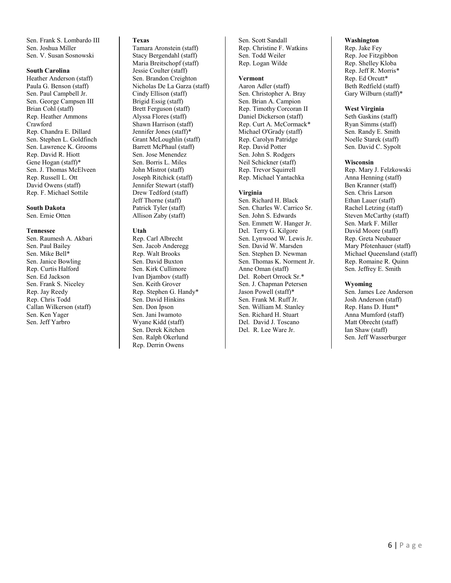Sen. Frank S. Lombardo III Sen. Joshua Miller Sen. V. Susan Sosnowski

#### **South Carolina**

Heather Anderson (staff) Paula G. Benson (staff) Sen. Paul Campbell Jr. Sen. George Campsen III Brian Cohl (staff) Rep. Heather Ammons Crawford Rep. Chandra E. Dillard Sen. Stephen L. Goldfinch Sen. Lawrence K. Grooms Rep. David R. Hiott Gene Hogan (staff)\* Sen. J. Thomas McElveen Rep. Russell L. Ott David Owens (staff) Rep. F. Michael Sottile

**South Dakota** Sen. Ernie Otten

#### **Tennessee**

Sen. Raumesh A. Akbari Sen. Paul Bailey Sen. Mike Bell\* Sen. Janice Bowling Rep. Curtis Halford Sen. Ed Jackson Sen. Frank S. Niceley Rep. Jay Reedy Rep. Chris Todd Callan Wilkerson (staff) Sen. Ken Yager Sen. Jeff Yarbro

#### **Texas**

Tamara Aronstein (staff) Stacy Bergendahl (staff) Maria Breitschopf (staff) Jessie Coulter (staff) Sen. Brandon Creighton Nicholas De La Garza (staff) Cindy Ellison (staff) Brigid Essig (staff) Brett Ferguson (staff) Alyssa Flores (staff) Shawn Harrison (staff) Jennifer Jones (staff)\* Grant McLoughlin (staff) Barrett McPhaul (staff) Sen. Jose Menendez Sen. Borris L. Miles John Mistrot (staff) Joseph Ritchick (staff) Jennifer Stewart (staff) Drew Tedford (staff) Jeff Thorne (staff) Patrick Tyler (staff) Allison Zaby (staff)

#### **Utah**

Rep. Carl Albrecht Sen. Jacob Anderegg Rep. Walt Brooks Sen. David Buxton Sen. Kirk Cullimore Ivan Djambov (staff) Sen. Keith Grover Rep. Stephen G. Handy\* Sen. David Hinkins Sen. Don Ipson Sen. Jani Iwamoto Wyane Kidd (staff) Sen. Derek Kitchen Sen. Ralph Okerlund Rep. Derrin Owens

Sen. Scott Sandall Rep. Christine F. Watkins Sen. Todd Weiler Rep. Logan Wilde

#### **Vermont**

Aaron Adler (staff) Sen. Christopher A. Bray Sen. Brian A. Campion Rep. Timothy Corcoran II Daniel Dickerson (staff) Rep. Curt A. McCormack\* Michael O'Grady (staff) Rep. Carolyn Patridge Rep. David Potter Sen. John S. Rodgers Neil Schickner (staff) Rep. Trevor Squirrell Rep. Michael Yantachka

#### **Virginia**

Sen. Richard H. Black Sen. Charles W. Carrico Sr. Sen. John S. Edwards Sen. Emmett W. Hanger Jr. Del. Terry G. Kilgore Sen. Lynwood W. Lewis Jr. Sen. David W. Marsden Sen. Stephen D. Newman Sen. Thomas K. Norment Jr. Anne Oman (staff) Del. Robert Orrock Sr.\* Sen. J. Chapman Petersen Jason Powell (staff)\* Sen. Frank M. Ruff Jr. Sen. William M. Stanley Sen. Richard H. Stuart Del. David J. Toscano Del. R. Lee Ware Jr.

#### **Washington**

Rep. Jake Fey Rep. Joe Fitzgibbon Rep. Shelley Kloba Rep. Jeff R. Morris\* Rep. Ed Orcutt\* Beth Redfield (staff) Gary Wilburn (staff)\*

#### **West Virginia**

Seth Gaskins (staff) Ryan Simms (staff) Sen. Randy E. Smith Noelle Starek (staff) Sen. David C. Sypolt

#### **Wisconsin**

Rep. Mary J. Felzkowski Anna Henning (staff) Ben Kranner (staff) Sen. Chris Larson Ethan Lauer (staff) Rachel Letzing (staff) Steven McCarthy (staff) Sen. Mark F. Miller David Moore (staff) Rep. Greta Neubauer Mary Pfotenhauer (staff) Michael Queensland (staff) Rep. Romaine R. Quinn Sen. Jeffrey E. Smith

#### **Wyoming**

Sen. James Lee Anderson Josh Anderson (staff) Rep. Hans D. Hunt\* Anna Mumford (staff) Matt Obrecht (staff) Ian Shaw (staff) Sen. Jeff Wasserburger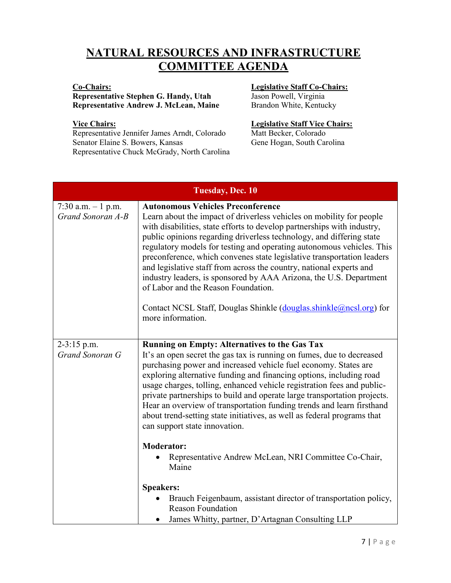## <span id="page-6-0"></span>**NATURAL RESOURCES AND INFRASTRUCTURE COMMITTEE AGENDA**

## **Co-Chairs:**

### **Representative Stephen G. Handy, Utah Representative Andrew J. McLean, Maine**

### **Vice Chairs:**

Representative Jennifer James Arndt, Colorado Senator Elaine S. Bowers, Kansas Representative Chuck McGrady, North Carolina

### **Legislative Staff Co-Chairs:**

Jason Powell, Virginia Brandon White, Kentucky

### **Legislative Staff Vice Chairs:**

Matt Becker, Colorado Gene Hogan, South Carolina

| Tuesday, Dec. 10                                                                                                                                                                                                                                                                                                                                                                                                                                                                                                                                                                                                                                                                                                                                                                                                             |  |  |  |  |
|------------------------------------------------------------------------------------------------------------------------------------------------------------------------------------------------------------------------------------------------------------------------------------------------------------------------------------------------------------------------------------------------------------------------------------------------------------------------------------------------------------------------------------------------------------------------------------------------------------------------------------------------------------------------------------------------------------------------------------------------------------------------------------------------------------------------------|--|--|--|--|
| <b>Autonomous Vehicles Preconference</b><br>Learn about the impact of driverless vehicles on mobility for people<br>with disabilities, state efforts to develop partnerships with industry,<br>public opinions regarding driverless technology, and differing state<br>regulatory models for testing and operating autonomous vehicles. This<br>preconference, which convenes state legislative transportation leaders<br>and legislative staff from across the country, national experts and<br>industry leaders, is sponsored by AAA Arizona, the U.S. Department<br>of Labor and the Reason Foundation.<br>Contact NCSL Staff, Douglas Shinkle (douglas shinkle@ncsl.org) for<br>more information.                                                                                                                        |  |  |  |  |
| <b>Running on Empty: Alternatives to the Gas Tax</b><br>It's an open secret the gas tax is running on fumes, due to decreased<br>purchasing power and increased vehicle fuel economy. States are<br>exploring alternative funding and financing options, including road<br>usage charges, tolling, enhanced vehicle registration fees and public-<br>private partnerships to build and operate large transportation projects.<br>Hear an overview of transportation funding trends and learn firsthand<br>about trend-setting state initiatives, as well as federal programs that<br>can support state innovation.<br><b>Moderator:</b><br>Representative Andrew McLean, NRI Committee Co-Chair,<br>Maine<br><b>Speakers:</b><br>Brauch Feigenbaum, assistant director of transportation policy,<br><b>Reason Foundation</b> |  |  |  |  |
|                                                                                                                                                                                                                                                                                                                                                                                                                                                                                                                                                                                                                                                                                                                                                                                                                              |  |  |  |  |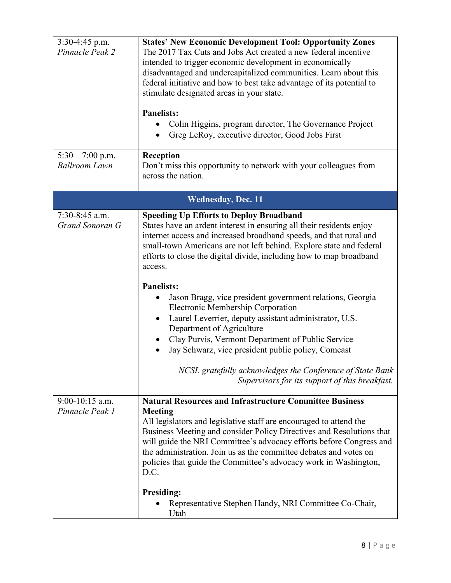| $3:30-4:45$ p.m.<br>Pinnacle Peak 2        | <b>States' New Economic Development Tool: Opportunity Zones</b><br>The 2017 Tax Cuts and Jobs Act created a new federal incentive<br>intended to trigger economic development in economically<br>disadvantaged and undercapitalized communities. Learn about this<br>federal initiative and how to best take advantage of its potential to<br>stimulate designated areas in your state.<br><b>Panelists:</b><br>Colin Higgins, program director, The Governance Project<br>Greg LeRoy, executive director, Good Jobs First                                                                                                                                                                                                                                                                                 |
|--------------------------------------------|------------------------------------------------------------------------------------------------------------------------------------------------------------------------------------------------------------------------------------------------------------------------------------------------------------------------------------------------------------------------------------------------------------------------------------------------------------------------------------------------------------------------------------------------------------------------------------------------------------------------------------------------------------------------------------------------------------------------------------------------------------------------------------------------------------|
|                                            |                                                                                                                                                                                                                                                                                                                                                                                                                                                                                                                                                                                                                                                                                                                                                                                                            |
| $5:30 - 7:00$ p.m.<br><b>Ballroom Lawn</b> | Reception<br>Don't miss this opportunity to network with your colleagues from<br>across the nation.                                                                                                                                                                                                                                                                                                                                                                                                                                                                                                                                                                                                                                                                                                        |
|                                            | <b>Wednesday</b> , Dec. 11                                                                                                                                                                                                                                                                                                                                                                                                                                                                                                                                                                                                                                                                                                                                                                                 |
| $7:30-8:45$ a.m.<br>Grand Sonoran G        | <b>Speeding Up Efforts to Deploy Broadband</b><br>States have an ardent interest in ensuring all their residents enjoy<br>internet access and increased broadband speeds, and that rural and<br>small-town Americans are not left behind. Explore state and federal<br>efforts to close the digital divide, including how to map broadband<br>access.<br><b>Panelists:</b><br>Jason Bragg, vice president government relations, Georgia<br>Electronic Membership Corporation<br>Laurel Leverrier, deputy assistant administrator, U.S.<br>$\bullet$<br>Department of Agriculture<br>Clay Purvis, Vermont Department of Public Service<br>Jay Schwarz, vice president public policy, Comcast<br>NCSL gratefully acknowledges the Conference of State Bank<br>Supervisors for its support of this breakfast. |
| $9:00-10:15$ a.m.<br>Pinnacle Peak 1       | <b>Natural Resources and Infrastructure Committee Business</b><br><b>Meeting</b><br>All legislators and legislative staff are encouraged to attend the<br>Business Meeting and consider Policy Directives and Resolutions that<br>will guide the NRI Committee's advocacy efforts before Congress and<br>the administration. Join us as the committee debates and votes on<br>policies that guide the Committee's advocacy work in Washington,<br>D.C.<br><b>Presiding:</b><br>Representative Stephen Handy, NRI Committee Co-Chair,<br>Utah                                                                                                                                                                                                                                                               |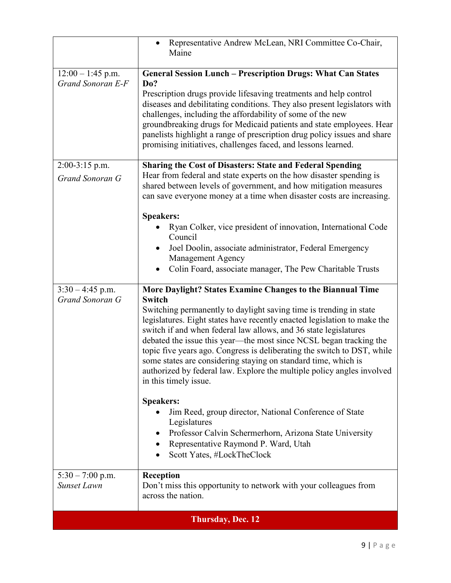|                                          | Representative Andrew McLean, NRI Committee Co-Chair,<br>Maine                                                                                                                                                                                                                                                                                                                                                                                                                                                                                                                                                                                                                                                                                                                                                                                          |  |  |  |
|------------------------------------------|---------------------------------------------------------------------------------------------------------------------------------------------------------------------------------------------------------------------------------------------------------------------------------------------------------------------------------------------------------------------------------------------------------------------------------------------------------------------------------------------------------------------------------------------------------------------------------------------------------------------------------------------------------------------------------------------------------------------------------------------------------------------------------------------------------------------------------------------------------|--|--|--|
| $12:00 - 1:45$ p.m.<br>Grand Sonoran E-F | <b>General Session Lunch - Prescription Drugs: What Can States</b><br>Do?<br>Prescription drugs provide lifesaving treatments and help control<br>diseases and debilitating conditions. They also present legislators with<br>challenges, including the affordability of some of the new<br>groundbreaking drugs for Medicaid patients and state employees. Hear<br>panelists highlight a range of prescription drug policy issues and share<br>promising initiatives, challenges faced, and lessons learned.                                                                                                                                                                                                                                                                                                                                           |  |  |  |
| 2:00-3:15 p.m.<br>Grand Sonoran G        | <b>Sharing the Cost of Disasters: State and Federal Spending</b><br>Hear from federal and state experts on the how disaster spending is<br>shared between levels of government, and how mitigation measures<br>can save everyone money at a time when disaster costs are increasing.<br><b>Speakers:</b><br>Ryan Colker, vice president of innovation, International Code<br>Council                                                                                                                                                                                                                                                                                                                                                                                                                                                                    |  |  |  |
|                                          | Joel Doolin, associate administrator, Federal Emergency<br><b>Management Agency</b><br>Colin Foard, associate manager, The Pew Charitable Trusts                                                                                                                                                                                                                                                                                                                                                                                                                                                                                                                                                                                                                                                                                                        |  |  |  |
| $3:30 - 4:45$ p.m.<br>Grand Sonoran G    | More Daylight? States Examine Changes to the Biannual Time<br><b>Switch</b><br>Switching permanently to daylight saving time is trending in state<br>legislatures. Eight states have recently enacted legislation to make the<br>switch if and when federal law allows, and 36 state legislatures<br>debated the issue this year—the most since NCSL began tracking the<br>topic five years ago. Congress is deliberating the switch to DST, while<br>some states are considering staying on standard time, which is<br>authorized by federal law. Explore the multiple policy angles involved<br>in this timely issue.<br><b>Speakers:</b><br>Jim Reed, group director, National Conference of State<br>$\bullet$<br>Legislatures<br>Professor Calvin Schermerhorn, Arizona State University<br>٠<br>Representative Raymond P. Ward, Utah<br>$\bullet$ |  |  |  |
| $5:30 - 7:00$ p.m.<br><b>Sunset Lawn</b> | Scott Yates, #LockTheClock<br><b>Reception</b><br>Don't miss this opportunity to network with your colleagues from<br>across the nation.                                                                                                                                                                                                                                                                                                                                                                                                                                                                                                                                                                                                                                                                                                                |  |  |  |
| <b>Thursday, Dec. 12</b>                 |                                                                                                                                                                                                                                                                                                                                                                                                                                                                                                                                                                                                                                                                                                                                                                                                                                                         |  |  |  |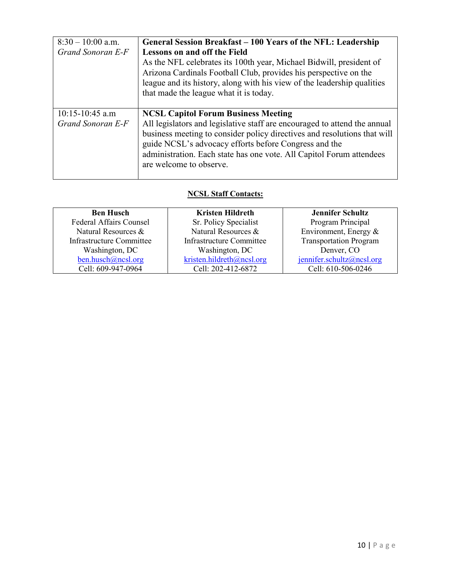| $8:30 - 10:00$ a.m.<br>Grand Sonoran E-F | General Session Breakfast – 100 Years of the NFL: Leadership<br><b>Lessons on and off the Field</b><br>As the NFL celebrates its 100th year, Michael Bidwill, president of<br>Arizona Cardinals Football Club, provides his perspective on the<br>league and its history, along with his view of the leadership qualities<br>that made the league what it is today. |
|------------------------------------------|---------------------------------------------------------------------------------------------------------------------------------------------------------------------------------------------------------------------------------------------------------------------------------------------------------------------------------------------------------------------|
| $10:15 - 10:45$ a.m<br>Grand Sonoran E-F | <b>NCSL Capitol Forum Business Meeting</b><br>All legislators and legislative staff are encouraged to attend the annual<br>business meeting to consider policy directives and resolutions that will<br>guide NCSL's advocacy efforts before Congress and the<br>administration. Each state has one vote. All Capitol Forum attendees<br>are welcome to observe.     |

## **NCSL Staff Contacts:**

<span id="page-9-0"></span>

| <b>Ben Husch</b>                | <b>Kristen Hildreth</b>         | <b>Jennifer Schultz</b>       |
|---------------------------------|---------------------------------|-------------------------------|
| <b>Federal Affairs Counsel</b>  | Sr. Policy Specialist           | Program Principal             |
| Natural Resources &             | Natural Resources &             | Environment, Energy $\&$      |
| <b>Infrastructure Committee</b> | <b>Infrastructure Committee</b> | <b>Transportation Program</b> |
| Washington, DC                  | Washington, DC                  | Denver, CO                    |
| ben.husch@ncsl.org              | kristen.hildreth@ncsl.org       | $j$ ennifer.schultz@ncsl.org  |
| Cell: 609-947-0964              | Cell: 202-412-6872              | Cell: 610-506-0246            |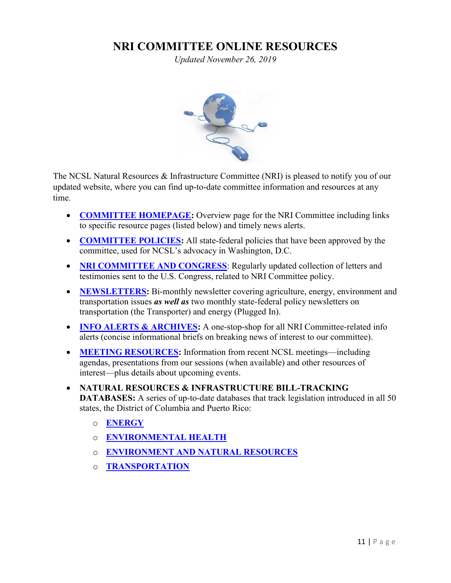## **NRI COMMITTEE ONLINE RESOURCES**

*Updated November 26, 2019*



The NCSL Natural Resources & Infrastructure Committee (NRI) is pleased to notify you of our updated website, where you can find up-to-date committee information and resources at any time.

- **[COMMITTEE HOMEPAGE:](http://www.ncsl.org/ncsl-in-dc/standing-committees/natural-resources-and-infrastructure.aspx)** Overview page for the NRI Committee including links to specific resource pages (listed below) and timely news alerts.
- **[COMMITTEE POLICIES:](http://www.ncsl.org/ncsl-in-dc/task-forces/policies-natural-resources-and-infrastructure.aspx)** All state-federal policies that have been approved by the committee, used for NCSL's advocacy in Washington, D.C.
- **[NRI COMMITTEE AND CONGRESS](http://www.ncsl.org/research/environment-and-natural-resources/nri-committee-letters-to-us-congress.aspx)**: Regularly updated collection of letters and testimonies sent to the U.S. Congress, related to NRI Committee policy.
- **[NEWSLETTERS:](http://www.ncsl.org/ncsl-in-dc/standing-committees/natural-resources-and-infrastructure/natural-resources-and-infrastructure-committee-newsletter-new.aspx)** Bi-monthly newsletter covering agriculture, energy, environment and transportation issues *as well as* two monthly state-federal policy newsletters on transportation (the Transporter) and energy (Plugged In).
- **[INFO ALERTS & ARCHIVES:](http://www.ncsl.org/research/agriculture-and-rural-development/nri-info-alert-archives.aspx)** A one-stop-shop for all NRI Committee-related info alerts (concise informational briefs on breaking news of interest to our committee).
- **[MEETING RESOURCES:](http://www.ncsl.org/meetings-training.aspx)** Information from recent NCSL meetings—including agendas, presentations from our sessions (when available) and other resources of interest—plus details about upcoming events.
- **NATURAL RESOURCES & INFRASTRUCTURE BILL-TRACKING DATABASES:** A series of up-to-date databases that track legislation introduced in all 50 states, the District of Columbia and Puerto Rico:
	- o **[ENERGY](http://www.ncsl.org/default.aspx?tabid=13011)**
	- o **[ENVIRONMENTAL HEALTH](http://www.ncsl.org/research/environment-and-natural-resources/environmental-health-legislation-database.aspx)**
	- o **[ENVIRONMENT AND NATURAL RESOURCES](http://www.ncsl.org/research/environment-and-natural-resources/environment-and-natural-resources-state-bill-tracking-database.aspx)**
	- o **[TRANSPORTATION](http://www.ncsl.org/default.aspx?tabid=25720)**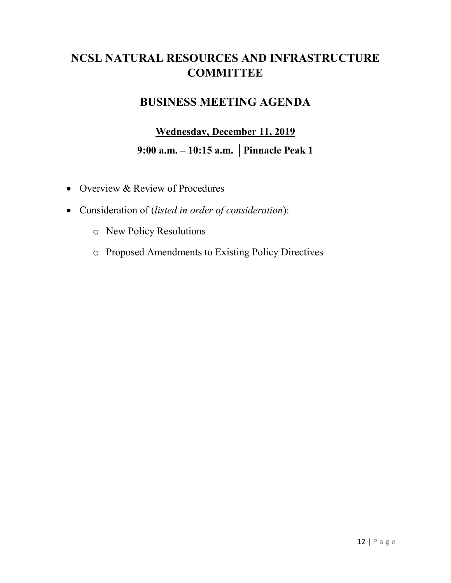## <span id="page-11-0"></span>**NCSL NATURAL RESOURCES AND INFRASTRUCTURE COMMITTEE**

## **BUSINESS MEETING AGENDA**

## **Wednesday, December 11, 2019 9:00 a.m. – 10:15 a.m. │Pinnacle Peak 1**

- Overview & Review of Procedures
- Consideration of (*listed in order of consideration*):
	- o New Policy Resolutions
	- o Proposed Amendments to Existing Policy Directives